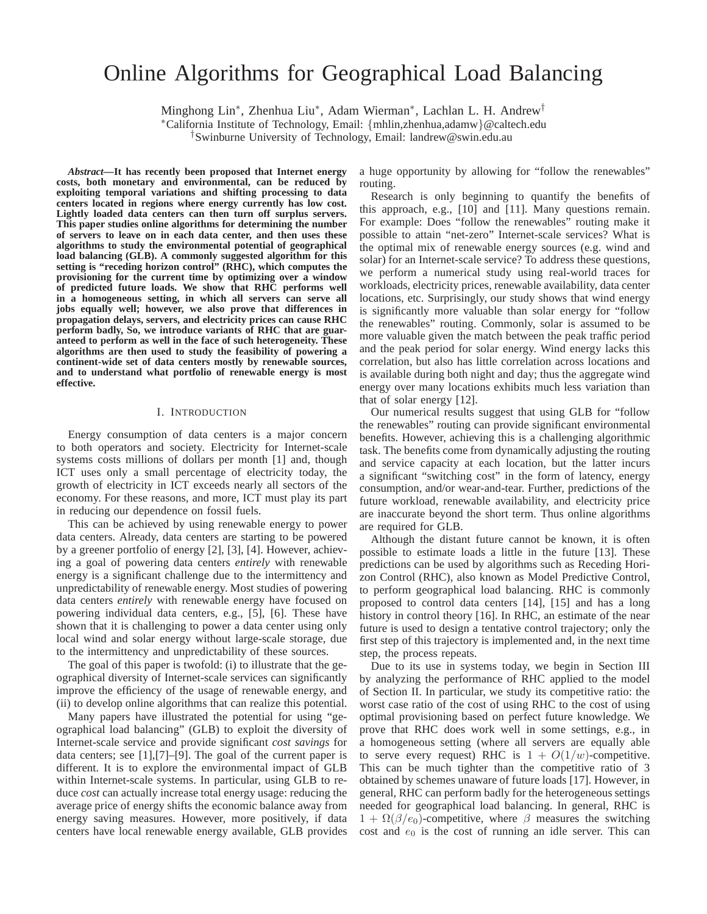# Online Algorithms for Geographical Load Balancing

Minghong Lin<sup>∗</sup> , Zhenhua Liu<sup>∗</sup> , Adam Wierman<sup>∗</sup> , Lachlan L. H. Andrew†

<sup>∗</sup>California Institute of Technology, Email: {mhlin,zhenhua,adamw}@caltech.edu †Swinburne University of Technology, Email: landrew@swin.edu.au

*Abstract***—It has recently been proposed that Internet energy costs, both monetary and environmental, can be reduced by exploiting temporal variations and shifting processing to data centers located in regions where energy currently has low cost. Lightly loaded data centers can then turn off surplus servers. This paper studies online algorithms for determining the number of servers to leave on in each data center, and then uses these algorithms to study the environmental potential of geographical load balancing (GLB). A commonly suggested algorithm for this setting is "receding horizon control" (RHC), which computes the provisioning for the current time by optimizing over a window of predicted future loads. We show that RHC performs well in a homogeneous setting, in which all servers can serve all jobs equally well; however, we also prove that differences in propagation delays, servers, and electricity prices can cause RHC perform badly, So, we introduce variants of RHC that are guaranteed to perform as well in the face of such heterogeneity. These algorithms are then used to study the feasibility of powering a continent-wide set of data centers mostly by renewable sources, and to understand what portfolio of renewable energy is most effective.**

# I. INTRODUCTION

Energy consumption of data centers is a major concern to both operators and society. Electricity for Internet-scale systems costs millions of dollars per month [1] and, though ICT uses only a small percentage of electricity today, the growth of electricity in ICT exceeds nearly all sectors of the economy. For these reasons, and more, ICT must play its part in reducing our dependence on fossil fuels.

This can be achieved by using renewable energy to power data centers. Already, data centers are starting to be powered by a greener portfolio of energy [2], [3], [4]. However, achieving a goal of powering data centers *entirely* with renewable energy is a significant challenge due to the intermittency and unpredictability of renewable energy. Most studies of powering data centers *entirely* with renewable energy have focused on powering individual data centers, e.g., [5], [6]. These have shown that it is challenging to power a data center using only local wind and solar energy without large-scale storage, due to the intermittency and unpredictability of these sources.

The goal of this paper is twofold: (i) to illustrate that the geographical diversity of Internet-scale services can significantly improve the efficiency of the usage of renewable energy, and (ii) to develop online algorithms that can realize this potential.

Many papers have illustrated the potential for using "geographical load balancing" (GLB) to exploit the diversity of Internet-scale service and provide significant *cost savings* for data centers; see [1],[7]–[9]. The goal of the current paper is different. It is to explore the environmental impact of GLB within Internet-scale systems. In particular, using GLB to reduce *cost* can actually increase total energy usage: reducing the average price of energy shifts the economic balance away from energy saving measures. However, more positively, if data centers have local renewable energy available, GLB provides

a huge opportunity by allowing for "follow the renewables" routing.

Research is only beginning to quantify the benefits of this approach, e.g., [10] and [11]. Many questions remain. For example: Does "follow the renewables" routing make it possible to attain "net-zero" Internet-scale services? What is the optimal mix of renewable energy sources (e.g. wind and solar) for an Internet-scale service? To address these questions, we perform a numerical study using real-world traces for workloads, electricity prices, renewable availability, data center locations, etc. Surprisingly, our study shows that wind energy is significantly more valuable than solar energy for "follow the renewables" routing. Commonly, solar is assumed to be more valuable given the match between the peak traffic period and the peak period for solar energy. Wind energy lacks this correlation, but also has little correlation across locations and is available during both night and day; thus the aggregate wind energy over many locations exhibits much less variation than that of solar energy [12].

Our numerical results suggest that using GLB for "follow the renewables" routing can provide significant environmental benefits. However, achieving this is a challenging algorithmic task. The benefits come from dynamically adjusting the routing and service capacity at each location, but the latter incurs a significant "switching cost" in the form of latency, energy consumption, and/or wear-and-tear. Further, predictions of the future workload, renewable availability, and electricity price are inaccurate beyond the short term. Thus online algorithms are required for GLB.

Although the distant future cannot be known, it is often possible to estimate loads a little in the future [13]. These predictions can be used by algorithms such as Receding Horizon Control (RHC), also known as Model Predictive Control, to perform geographical load balancing. RHC is commonly proposed to control data centers [14], [15] and has a long history in control theory [16]. In RHC, an estimate of the near future is used to design a tentative control trajectory; only the first step of this trajectory is implemented and, in the next time step, the process repeats.

Due to its use in systems today, we begin in Section III by analyzing the performance of RHC applied to the model of Section II. In particular, we study its competitive ratio: the worst case ratio of the cost of using RHC to the cost of using optimal provisioning based on perfect future knowledge. We prove that RHC does work well in some settings, e.g., in a homogeneous setting (where all servers are equally able to serve every request) RHC is  $1 + O(1/w)$ -competitive. This can be much tighter than the competitive ratio of 3 obtained by schemes unaware of future loads [17]. However, in general, RHC can perform badly for the heterogeneous settings needed for geographical load balancing. In general, RHC is  $1 + \Omega(\beta/e_0)$ -competitive, where  $\beta$  measures the switching cost and  $e_0$  is the cost of running an idle server. This can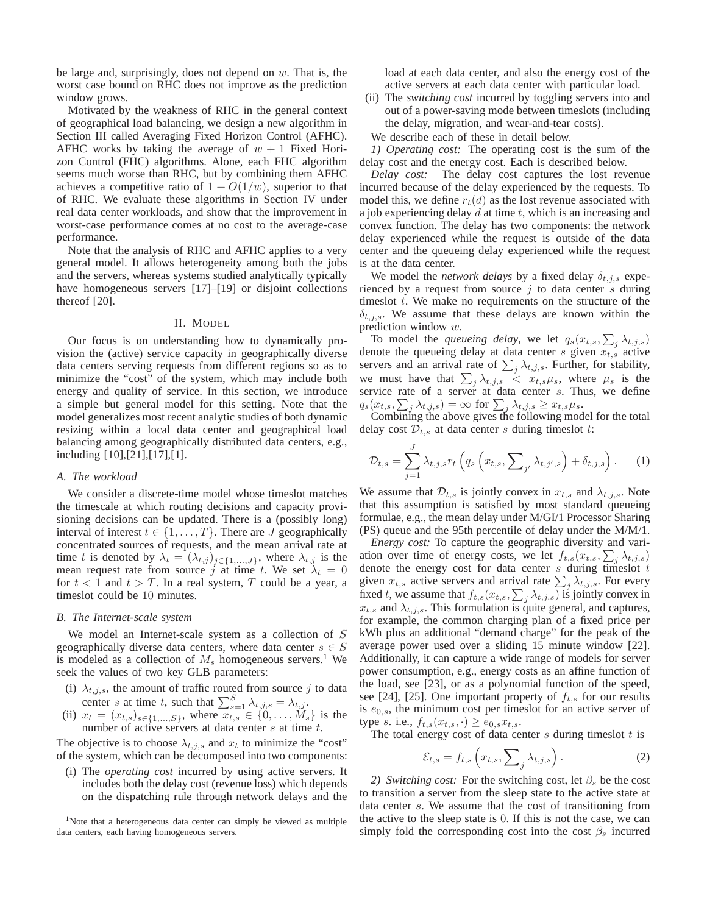be large and, surprisingly, does not depend on  $w$ . That is, the worst case bound on RHC does not improve as the prediction window grows.

Motivated by the weakness of RHC in the general context of geographical load balancing, we design a new algorithm in Section III called Averaging Fixed Horizon Control (AFHC). AFHC works by taking the average of  $w + 1$  Fixed Horizon Control (FHC) algorithms. Alone, each FHC algorithm seems much worse than RHC, but by combining them AFHC achieves a competitive ratio of  $1 + O(1/w)$ , superior to that of RHC. We evaluate these algorithms in Section IV under real data center workloads, and show that the improvement in worst-case performance comes at no cost to the average-case performance.

Note that the analysis of RHC and AFHC applies to a very general model. It allows heterogeneity among both the jobs and the servers, whereas systems studied analytically typically have homogeneous servers [17]–[19] or disjoint collections thereof [20].

## II. MODEL

Our focus is on understanding how to dynamically provision the (active) service capacity in geographically diverse data centers serving requests from different regions so as to minimize the "cost" of the system, which may include both energy and quality of service. In this section, we introduce a simple but general model for this setting. Note that the model generalizes most recent analytic studies of both dynamic resizing within a local data center and geographical load balancing among geographically distributed data centers, e.g., including [10],[21],[17],[1].

# *A. The workload*

We consider a discrete-time model whose timeslot matches the timescale at which routing decisions and capacity provisioning decisions can be updated. There is a (possibly long) interval of interest  $t \in \{1, \ldots, T\}$ . There are J geographically concentrated sources of requests, and the mean arrival rate at time t is denoted by  $\lambda_t = (\lambda_{t,j})_{j \in \{1,\dots,J\}}$ , where  $\lambda_{t,j}$  is the mean request rate from source j at time t. We set  $\lambda_t = 0$ for  $t < 1$  and  $t > T$ . In a real system, T could be a year, a timeslot could be 10 minutes.

## *B. The Internet-scale system*

We model an Internet-scale system as a collection of  $S$ geographically diverse data centers, where data center  $s \in S$ is modeled as a collection of  $M_s$  homogeneous servers.<sup>1</sup> We seek the values of two key GLB parameters:

- (i)  $\lambda_{t,j,s}$ , the amount of traffic routed from source j to data center s at time t, such that  $\sum_{s=1}^{S} \lambda_{t,j,s} = \lambda_{t,j}$ .
- (ii)  $x_t = (x_{t,s})_{s \in \{1,...,S\}}$ , where  $x_{t,s} \in \{0,...,M_s\}$  is the number of active servers at data center s at time t.

The objective is to choose  $\lambda_{t,j,s}$  and  $x_t$  to minimize the "cost" of the system, which can be decomposed into two components:

(i) The *operating cost* incurred by using active servers. It includes both the delay cost (revenue loss) which depends on the dispatching rule through network delays and the

<sup>1</sup>Note that a heterogeneous data center can simply be viewed as multiple data centers, each having homogeneous servers.

load at each data center, and also the energy cost of the active servers at each data center with particular load.

(ii) The *switching cost* incurred by toggling servers into and out of a power-saving mode between timeslots (including the delay, migration, and wear-and-tear costs).

We describe each of these in detail below.

*1) Operating cost:* The operating cost is the sum of the delay cost and the energy cost. Each is described below.

*Delay cost:* The delay cost captures the lost revenue incurred because of the delay experienced by the requests. To model this, we define  $r_t(d)$  as the lost revenue associated with a job experiencing delay  $d$  at time  $t$ , which is an increasing and convex function. The delay has two components: the network delay experienced while the request is outside of the data center and the queueing delay experienced while the request is at the data center.

We model the *network delays* by a fixed delay  $\delta_{t,j,s}$  experienced by a request from source  $j$  to data center s during timeslot  $t$ . We make no requirements on the structure of the  $\delta_{t,j,s}$ . We assume that these delays are known within the prediction window  $w$ .

To model the *queueing delay*, we let  $q_s(x_{t,s}, \sum_j \lambda_{t,j,s})$ denote the queueing delay at data center  $s$  given  $x_{t,s}$  active servers and an arrival rate of  $\sum_j \lambda_{t,j,s}$ . Further, for stability, we must have that  $\sum_j \lambda_{t,j,s} \leq x_{t,s} \mu_s$ , where  $\mu_s$  is the service rate of a server at data center s. Thus, we define  $q_s(x_{t,s}, \sum_j \lambda_{t,j,s}) = \infty$  for  $\sum_j \lambda_{t,j,s} \geq x_{t,s} \mu_s$ .

Combining the above gives the following model for the total delay cost  $\mathcal{D}_{t,s}$  at data center s during timeslot t:

$$
\mathcal{D}_{t,s} = \sum_{j=1}^{J} \lambda_{t,j,s} r_t \left( q_s \left( x_{t,s}, \sum_{j'} \lambda_{t,j',s} \right) + \delta_{t,j,s} \right). \tag{1}
$$

We assume that  $\mathcal{D}_{t,s}$  is jointly convex in  $x_{t,s}$  and  $\lambda_{t,j,s}$ . Note that this assumption is satisfied by most standard queueing formulae, e.g., the mean delay under M/GI/1 Processor Sharing (PS) queue and the 95th percentile of delay under the M/M/1.

*Energy cost:* To capture the geographic diversity and variation over time of energy costs, we let  $f_{t,s}(x_{t,s}, \sum_j \lambda_{t,j,s})$ denote the energy cost for data center  $s$  during timeslot  $t$ given  $x_{t,s}$  active servers and arrival rate  $\sum_j \lambda_{t,j,s}$ . For every fixed t, we assume that  $f_{t,s}(x_{t,s}, \sum_j \lambda_{t,j,s})$  is jointly convex in  $x_{t,s}$  and  $\lambda_{t,j,s}$ . This formulation is quite general, and captures, for example, the common charging plan of a fixed price per kWh plus an additional "demand charge" for the peak of the average power used over a sliding 15 minute window [22]. Additionally, it can capture a wide range of models for server power consumption, e.g., energy costs as an affine function of the load, see [23], or as a polynomial function of the speed, see [24], [25]. One important property of  $f_{t,s}$  for our results is  $e_{0,s}$ , the minimum cost per timeslot for an active server of type *s*. i.e.,  $f_{t,s}(x_{t,s}, \cdot) \ge e_{0,s} x_{t,s}$ .

The total energy cost of data center  $s$  during timeslot  $t$  is

$$
\mathcal{E}_{t,s} = f_{t,s} \left( x_{t,s}, \sum_{j} \lambda_{t,j,s} \right). \tag{2}
$$

*2) Switching cost:* For the switching cost, let  $\beta_s$  be the cost to transition a server from the sleep state to the active state at data center s. We assume that the cost of transitioning from the active to the sleep state is 0. If this is not the case, we can simply fold the corresponding cost into the cost  $\beta_s$  incurred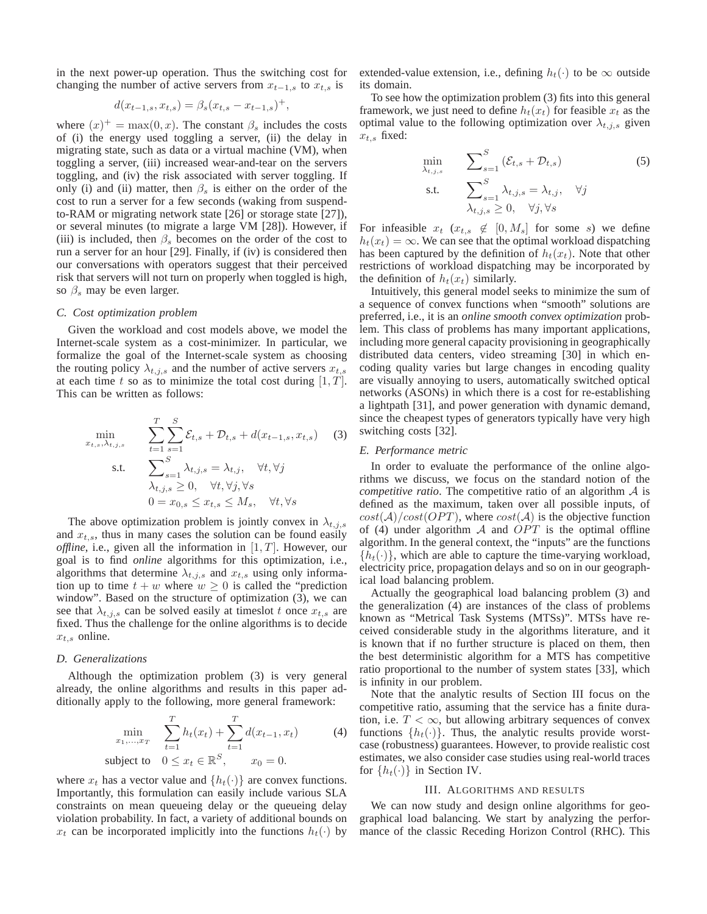in the next power-up operation. Thus the switching cost for changing the number of active servers from  $x_{t-1,s}$  to  $x_{t,s}$  is

$$
d(x_{t-1,s}, x_{t,s}) = \beta_s (x_{t,s} - x_{t-1,s})^+,
$$

where  $(x)^{+} = \max(0, x)$ . The constant  $\beta_s$  includes the costs of (i) the energy used toggling a server, (ii) the delay in migrating state, such as data or a virtual machine (VM), when toggling a server, (iii) increased wear-and-tear on the servers toggling, and (iv) the risk associated with server toggling. If only (i) and (ii) matter, then  $\beta_s$  is either on the order of the cost to run a server for a few seconds (waking from suspendto-RAM or migrating network state [26] or storage state [27]), or several minutes (to migrate a large VM [28]). However, if (iii) is included, then  $\beta_s$  becomes on the order of the cost to run a server for an hour [29]. Finally, if (iv) is considered then our conversations with operators suggest that their perceived risk that servers will not turn on properly when toggled is high, so  $\beta_s$  may be even larger.

#### *C. Cost optimization problem*

Given the workload and cost models above, we model the Internet-scale system as a cost-minimizer. In particular, we formalize the goal of the Internet-scale system as choosing the routing policy  $\lambda_{t,j,s}$  and the number of active servers  $x_{t,s}$ at each time t so as to minimize the total cost during  $[1, T]$ . This can be written as follows:

$$
\min_{x_{t,s}, \lambda_{t,j,s}} \qquad \sum_{t=1}^{T} \sum_{s=1}^{S} \mathcal{E}_{t,s} + \mathcal{D}_{t,s} + d(x_{t-1,s}, x_{t,s}) \qquad (3)
$$
\n
$$
\text{s.t.} \qquad \sum_{s=1}^{S} \lambda_{t,j,s} = \lambda_{t,j}, \quad \forall t, \forall j
$$

$$
\lambda_{t,j,s} \ge 0, \quad \forall t, \forall j, \forall s
$$
  

$$
0 = x_{0,s} \le x_{t,s} \le M_s, \quad \forall t, \forall s
$$

The above optimization problem is jointly convex in  $\lambda_{t,j,s}$ and  $x_{t,s}$ , thus in many cases the solution can be found easily *offline*, i.e., given all the information in  $[1, T]$ . However, our goal is to find *online* algorithms for this optimization, i.e., algorithms that determine  $\lambda_{t,j,s}$  and  $x_{t,s}$  using only information up to time  $t + w$  where  $w \ge 0$  is called the "prediction" window". Based on the structure of optimization (3), we can see that  $\lambda_{t,j,s}$  can be solved easily at timeslot t once  $x_{t,s}$  are fixed. Thus the challenge for the online algorithms is to decide  $x_{t,s}$  online.

## *D. Generalizations*

Although the optimization problem (3) is very general already, the online algorithms and results in this paper additionally apply to the following, more general framework:

$$
\min_{x_1, ..., x_T} \sum_{t=1}^T h_t(x_t) + \sum_{t=1}^T d(x_{t-1}, x_t)
$$
\nsubject to

\n
$$
0 \le x_t \in \mathbb{R}^S, \quad x_0 = 0.
$$
\n(4)

where  $x_t$  has a vector value and  $\{h_t(\cdot)\}\$  are convex functions. Importantly, this formulation can easily include various SLA constraints on mean queueing delay or the queueing delay violation probability. In fact, a variety of additional bounds on  $x_t$  can be incorporated implicitly into the functions  $h_t(\cdot)$  by

extended-value extension, i.e., defining  $h_t(\cdot)$  to be  $\infty$  outside its domain.

To see how the optimization problem (3) fits into this general framework, we just need to define  $h_t(x_t)$  for feasible  $x_t$  as the optimal value to the following optimization over  $\lambda_{t,j,s}$  given  $x_{t,s}$  fixed:

$$
\min_{\lambda_{t,j,s}} \sum_{s=1}^{S} (\mathcal{E}_{t,s} + \mathcal{D}_{t,s})
$$
\n
$$
\text{s.t.} \sum_{\lambda_{t,j,s}}^{S} \lambda_{t,j,s} = \lambda_{t,j}, \quad \forall j
$$
\n
$$
\lambda_{t,j,s} \geq 0, \quad \forall j, \forall s
$$
\n
$$
(5)
$$

For infeasible  $x_t$  ( $x_{t,s} \notin [0, M_s]$  for some s) we define  $h_t(x_t) = \infty$ . We can see that the optimal workload dispatching has been captured by the definition of  $h_t(x_t)$ . Note that other restrictions of workload dispatching may be incorporated by the definition of  $h_t(x_t)$  similarly.

Intuitively, this general model seeks to minimize the sum of a sequence of convex functions when "smooth" solutions are preferred, i.e., it is an *online smooth convex optimization* problem. This class of problems has many important applications, including more general capacity provisioning in geographically distributed data centers, video streaming [30] in which encoding quality varies but large changes in encoding quality are visually annoying to users, automatically switched optical networks (ASONs) in which there is a cost for re-establishing a lightpath [31], and power generation with dynamic demand, since the cheapest types of generators typically have very high switching costs [32].

# *E. Performance metric*

In order to evaluate the performance of the online algorithms we discuss, we focus on the standard notion of the *competitive ratio*. The competitive ratio of an algorithm A is defined as the maximum, taken over all possible inputs, of  $cost(\mathcal{A})/cost(OPT)$ , where  $cost(\mathcal{A})$  is the objective function of (4) under algorithm  $\mathcal A$  and  $OPT$  is the optimal offline algorithm. In the general context, the "inputs" are the functions  $\{h_t(\cdot)\}\$ , which are able to capture the time-varying workload, electricity price, propagation delays and so on in our geographical load balancing problem.

Actually the geographical load balancing problem (3) and the generalization (4) are instances of the class of problems known as "Metrical Task Systems (MTSs)". MTSs have received considerable study in the algorithms literature, and it is known that if no further structure is placed on them, then the best deterministic algorithm for a MTS has competitive ratio proportional to the number of system states [33], which is infinity in our problem.

Note that the analytic results of Section III focus on the competitive ratio, assuming that the service has a finite duration, i.e.  $T < \infty$ , but allowing arbitrary sequences of convex functions  $\{h_t(\cdot)\}\$ . Thus, the analytic results provide worstcase (robustness) guarantees. However, to provide realistic cost estimates, we also consider case studies using real-world traces for  $\{h_t(\cdot)\}\$ in Section IV.

## III. ALGORITHMS AND RESULTS

We can now study and design online algorithms for geographical load balancing. We start by analyzing the performance of the classic Receding Horizon Control (RHC). This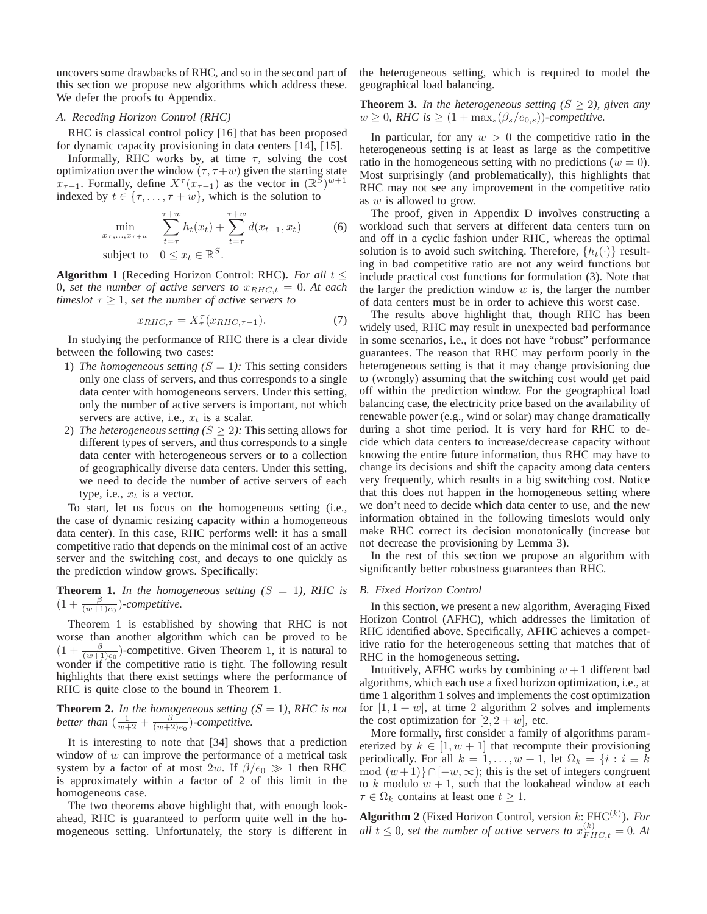uncovers some drawbacks of RHC, and so in the second part of this section we propose new algorithms which address these. We defer the proofs to Appendix.

#### *A. Receding Horizon Control (RHC)*

RHC is classical control policy [16] that has been proposed for dynamic capacity provisioning in data centers [14], [15].

Informally, RHC works by, at time  $\tau$ , solving the cost optimization over the window  $(\tau, \tau+w)$  given the starting state  $x_{\tau-1}$ . Formally, define  $X^{\tau}(x_{\tau-1})$  as the vector in  $(\mathbb{R}^S)^{w+1}$ indexed by  $t \in \{\tau, \ldots, \tau + w\}$ , which is the solution to

$$
\min_{x_{\tau}, \dots, x_{\tau+w}} \sum_{t=\tau}^{\tau+w} h_t(x_t) + \sum_{t=\tau}^{\tau+w} d(x_{t-1}, x_t) \tag{6}
$$

subject to  $0 \le x_t \in \mathbb{R}^S$ .

**Algorithm 1** (Receding Horizon Control: RHC). *For all*  $t \leq$ 0*, set the number of active servers to*  $x_{RHC,t} = 0$ *. At each timeslot*  $\tau \geq 1$ *, set the number of active servers to* 

$$
x_{RHC,\tau} = X_{\tau}^{\tau} (x_{RHC,\tau-1}). \tag{7}
$$

In studying the performance of RHC there is a clear divide between the following two cases:

- 1) *The homogeneous setting*  $(S = 1)$ *:* This setting considers only one class of servers, and thus corresponds to a single data center with homogeneous servers. Under this setting, only the number of active servers is important, not which servers are active, i.e.,  $x_t$  is a scalar.
- 2) *The heterogeneous setting*  $(S \geq 2)$ *:* This setting allows for different types of servers, and thus corresponds to a single data center with heterogeneous servers or to a collection of geographically diverse data centers. Under this setting, we need to decide the number of active servers of each type, i.e.,  $x_t$  is a vector.

To start, let us focus on the homogeneous setting (i.e., the case of dynamic resizing capacity within a homogeneous data center). In this case, RHC performs well: it has a small competitive ratio that depends on the minimal cost of an active server and the switching cost, and decays to one quickly as the prediction window grows. Specifically:

**Theorem 1.** In the homogeneous setting  $(S = 1)$ , RHC is  $(1+\frac{\beta}{(w+1)e_0})$ -*competitive.* 

Theorem 1 is established by showing that RHC is not worse than another algorithm which can be proved to be  $(1 + \frac{\beta}{(w+1)e_0})$ -competitive. Given Theorem 1, it is natural to wonder if the competitive ratio is tight. The following result highlights that there exist settings where the performance of RHC is quite close to the bound in Theorem 1.

**Theorem 2.** In the homogeneous setting  $(S = 1)$ , RHC is not better than  $\left(\frac{1}{w+2} + \frac{\beta}{(w+2)e_0}\right)$ -competitive.

It is interesting to note that [34] shows that a prediction window of  $w$  can improve the performance of a metrical task system by a factor of at most 2w. If  $\beta/e_0 \gg 1$  then RHC is approximately within a factor of 2 of this limit in the homogeneous case.

The two theorems above highlight that, with enough lookahead, RHC is guaranteed to perform quite well in the homogeneous setting. Unfortunately, the story is different in the heterogeneous setting, which is required to model the geographical load balancing.

**Theorem 3.** *In the heterogeneous setting*  $(S \geq 2)$ *, given any*  $w \geq 0$ , RHC is  $\geq (1 + \max_s(\beta_s/e_{0,s}))$ *-competitive.* 

In particular, for any  $w > 0$  the competitive ratio in the heterogeneous setting is at least as large as the competitive ratio in the homogeneous setting with no predictions ( $w = 0$ ). Most surprisingly (and problematically), this highlights that RHC may not see any improvement in the competitive ratio as w is allowed to grow.

The proof, given in Appendix D involves constructing a workload such that servers at different data centers turn on and off in a cyclic fashion under RHC, whereas the optimal solution is to avoid such switching. Therefore,  $\{h_t(\cdot)\}\$  resulting in bad competitive ratio are not any weird functions but include practical cost functions for formulation (3). Note that the larger the prediction window  $w$  is, the larger the number of data centers must be in order to achieve this worst case.

The results above highlight that, though RHC has been widely used, RHC may result in unexpected bad performance in some scenarios, i.e., it does not have "robust" performance guarantees. The reason that RHC may perform poorly in the heterogeneous setting is that it may change provisioning due to (wrongly) assuming that the switching cost would get paid off within the prediction window. For the geographical load balancing case, the electricity price based on the availability of renewable power (e.g., wind or solar) may change dramatically during a shot time period. It is very hard for RHC to decide which data centers to increase/decrease capacity without knowing the entire future information, thus RHC may have to change its decisions and shift the capacity among data centers very frequently, which results in a big switching cost. Notice that this does not happen in the homogeneous setting where we don't need to decide which data center to use, and the new information obtained in the following timeslots would only make RHC correct its decision monotonically (increase but not decrease the provisioning by Lemma 3).

In the rest of this section we propose an algorithm with significantly better robustness guarantees than RHC.

## *B. Fixed Horizon Control*

In this section, we present a new algorithm, Averaging Fixed Horizon Control (AFHC), which addresses the limitation of RHC identified above. Specifically, AFHC achieves a competitive ratio for the heterogeneous setting that matches that of RHC in the homogeneous setting.

Intuitively, AFHC works by combining  $w + 1$  different bad algorithms, which each use a fixed horizon optimization, i.e., at time 1 algorithm 1 solves and implements the cost optimization for  $[1, 1 + w]$ , at time 2 algorithm 2 solves and implements the cost optimization for  $[2, 2+w]$ , etc.

More formally, first consider a family of algorithms parameterized by  $k \in [1, w + 1]$  that recompute their provisioning periodically. For all  $k = 1, ..., w + 1$ , let  $\Omega_k = \{i : i \equiv k\}$ mod  $(w+1)$ } ∩ $[-w,\infty)$ ; this is the set of integers congruent to k modulo  $w + 1$ , such that the lookahead window at each  $\tau \in \Omega_k$  contains at least one  $t \geq 1$ .

**Algorithm 2** (Fixed Horizon Control, version k: FHC(k) )**.** *For all*  $t \leq 0$ , set the number of active servers to  $x_{FHC,t}^{(k)} = 0$ . At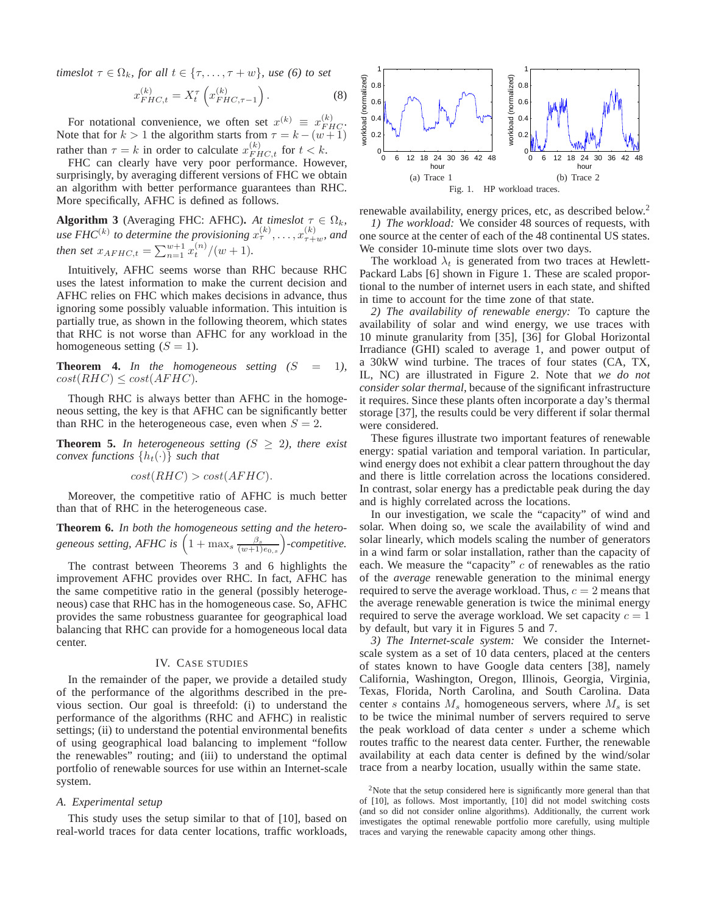*timeslot*  $\tau \in \Omega_k$ *, for all*  $t \in \{\tau, \ldots, \tau + w\}$ *, use* (6) to set

$$
x_{FHC,t}^{(k)} = X_t^{\tau} \left( x_{FHC,\tau-1}^{(k)} \right). \tag{8}
$$

For notational convenience, we often set  $x^{(k)} \equiv x^{(k)}_{FHC}$ . Note that for  $k > 1$  the algorithm starts from  $\tau = k - (w + 1)$ rather than  $\tau = k$  in order to calculate  $x_{FHC,t}^{(k)}$  for  $t < k$ .

FHC can clearly have very poor performance. However, surprisingly, by averaging different versions of FHC we obtain an algorithm with better performance guarantees than RHC. More specifically, AFHC is defined as follows.

**Algorithm 3** (Averaging FHC: AFHC). At timeslot  $\tau \in \Omega_k$ , use FHC<sup>(k)</sup> to determine the provisioning  $x_{\tau}^{(k)}, \ldots, x_{\tau+w}^{(k)}$ , and *then set*  $x_{AFHC,t} = \sum_{n=1}^{w+1} x_t^{(n)}/(w+1)$ *.* 

Intuitively, AFHC seems worse than RHC because RHC uses the latest information to make the current decision and AFHC relies on FHC which makes decisions in advance, thus ignoring some possibly valuable information. This intuition is partially true, as shown in the following theorem, which states that RHC is not worse than AFHC for any workload in the homogeneous setting  $(S = 1)$ .

**Theorem 4.** In the homogeneous setting  $(S = 1)$ ,  $cost(RHC) \le cost(AFHC)$ .

Though RHC is always better than AFHC in the homogeneous setting, the key is that AFHC can be significantly better than RHC in the heterogeneous case, even when  $S = 2$ .

**Theorem 5.** In heterogeneous setting  $(S \geq 2)$ , there exist *convex functions*  $\{h_t(\cdot)\}\$  *such that* 

$$
cost(RHC) > cost(AFHC).
$$

Moreover, the competitive ratio of AFHC is much better than that of RHC in the heterogeneous case.

**Theorem 6.** *In both the homogeneous setting and the heterogeneous setting, AFHC is*  $\left(1 + \max_s \frac{\beta_s}{(w+1)e_{0,s}}\right)$ -competitive.

The contrast between Theorems 3 and 6 highlights the improvement AFHC provides over RHC. In fact, AFHC has the same competitive ratio in the general (possibly heterogeneous) case that RHC has in the homogeneous case. So, AFHC provides the same robustness guarantee for geographical load balancing that RHC can provide for a homogeneous local data center.

## IV. CASE STUDIES

In the remainder of the paper, we provide a detailed study of the performance of the algorithms described in the previous section. Our goal is threefold: (i) to understand the performance of the algorithms (RHC and AFHC) in realistic settings; (ii) to understand the potential environmental benefits of using geographical load balancing to implement "follow the renewables" routing; and (iii) to understand the optimal portfolio of renewable sources for use within an Internet-scale system.

## *A. Experimental setup*

This study uses the setup similar to that of [10], based on real-world traces for data center locations, traffic workloads,



renewable availability, energy prices, etc, as described below.<sup>2</sup> *1) The workload:* We consider 48 sources of requests, with one source at the center of each of the 48 continental US states. We consider 10-minute time slots over two days.

The workload  $\lambda_t$  is generated from two traces at Hewlett-Packard Labs [6] shown in Figure 1. These are scaled proportional to the number of internet users in each state, and shifted in time to account for the time zone of that state.

*2) The availability of renewable energy:* To capture the availability of solar and wind energy, we use traces with 10 minute granularity from [35], [36] for Global Horizontal Irradiance (GHI) scaled to average 1, and power output of a 30kW wind turbine. The traces of four states (CA, TX, IL, NC) are illustrated in Figure 2. Note that *we do not consider solar thermal*, because of the significant infrastructure it requires. Since these plants often incorporate a day's thermal storage [37], the results could be very different if solar thermal were considered.

These figures illustrate two important features of renewable energy: spatial variation and temporal variation. In particular, wind energy does not exhibit a clear pattern throughout the day and there is little correlation across the locations considered. In contrast, solar energy has a predictable peak during the day and is highly correlated across the locations.

In our investigation, we scale the "capacity" of wind and solar. When doing so, we scale the availability of wind and solar linearly, which models scaling the number of generators in a wind farm or solar installation, rather than the capacity of each. We measure the "capacity" c of renewables as the ratio of the *average* renewable generation to the minimal energy required to serve the average workload. Thus,  $c = 2$  means that the average renewable generation is twice the minimal energy required to serve the average workload. We set capacity  $c = 1$ by default, but vary it in Figures 5 and 7.

*3) The Internet-scale system:* We consider the Internetscale system as a set of 10 data centers, placed at the centers of states known to have Google data centers [38], namely California, Washington, Oregon, Illinois, Georgia, Virginia, Texas, Florida, North Carolina, and South Carolina. Data center s contains  $M_s$  homogeneous servers, where  $M_s$  is set to be twice the minimal number of servers required to serve the peak workload of data center s under a scheme which routes traffic to the nearest data center. Further, the renewable availability at each data center is defined by the wind/solar trace from a nearby location, usually within the same state.

<sup>&</sup>lt;sup>2</sup>Note that the setup considered here is significantly more general than that of [10], as follows. Most importantly, [10] did not model switching costs (and so did not consider online algorithms). Additionally, the current work investigates the optimal renewable portfolio more carefully, using multiple traces and varying the renewable capacity among other things.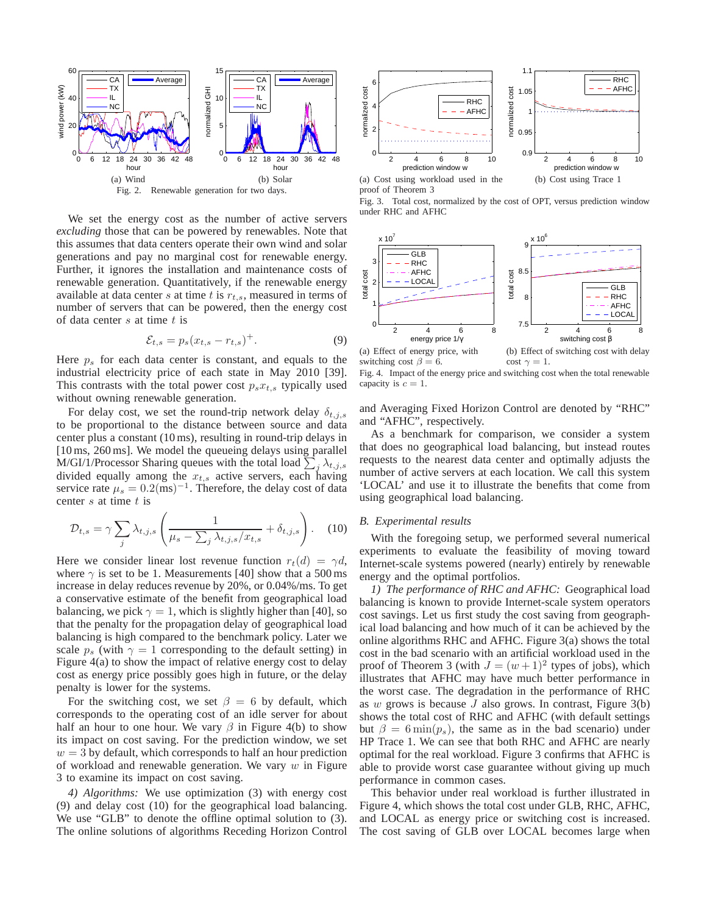

We set the energy cost as the number of active servers *excluding* those that can be powered by renewables. Note that this assumes that data centers operate their own wind and solar generations and pay no marginal cost for renewable energy. Further, it ignores the installation and maintenance costs of renewable generation. Quantitatively, if the renewable energy available at data center s at time t is  $r_{t,s}$ , measured in terms of number of servers that can be powered, then the energy cost of data center  $s$  at time  $t$  is

$$
\mathcal{E}_{t,s} = p_s (x_{t,s} - r_{t,s})^+.
$$
 (9)

Here  $p<sub>s</sub>$  for each data center is constant, and equals to the industrial electricity price of each state in May 2010 [39]. This contrasts with the total power cost  $p_s x_{t,s}$  typically used without owning renewable generation.

For delay cost, we set the round-trip network delay  $\delta_{t,j,s}$ to be proportional to the distance between source and data center plus a constant (10 ms), resulting in round-trip delays in [10 ms, 260 ms]. We model the queueing delays using parallel M/GI/1/Processor Sharing queues with the total load  $\sum_j \lambda_{t,j,s}$ divided equally among the  $x_{t,s}$  active servers, each having service rate  $\mu_s = 0.2 \text{(ms)}^{-1}$ . Therefore, the delay cost of data center  $s$  at time  $t$  is

$$
\mathcal{D}_{t,s} = \gamma \sum_{j} \lambda_{t,j,s} \left( \frac{1}{\mu_s - \sum_j \lambda_{t,j,s} / x_{t,s}} + \delta_{t,j,s} \right). \tag{10}
$$

Here we consider linear lost revenue function  $r_t(d) = \gamma d$ , where  $\gamma$  is set to be 1. Measurements [40] show that a 500 ms increase in delay reduces revenue by 20%, or 0.04%/ms. To get a conservative estimate of the benefit from geographical load balancing, we pick  $\gamma = 1$ , which is slightly higher than [40], so that the penalty for the propagation delay of geographical load balancing is high compared to the benchmark policy. Later we scale  $p_s$  (with  $\gamma = 1$  corresponding to the default setting) in Figure 4(a) to show the impact of relative energy cost to delay cost as energy price possibly goes high in future, or the delay penalty is lower for the systems.

For the switching cost, we set  $\beta = 6$  by default, which corresponds to the operating cost of an idle server for about half an hour to one hour. We vary  $\beta$  in Figure 4(b) to show its impact on cost saving. For the prediction window, we set  $w = 3$  by default, which corresponds to half an hour prediction of workload and renewable generation. We vary  $w$  in Figure 3 to examine its impact on cost saving.

*4) Algorithms:* We use optimization (3) with energy cost (9) and delay cost (10) for the geographical load balancing. We use "GLB" to denote the offline optimal solution to  $(3)$ . The online solutions of algorithms Receding Horizon Control



proof of Theorem 3





switching cost  $\beta = 6$ . cost  $\gamma = 1$ . Fig. 4. Impact of the energy price and switching cost when the total renewable capacity is  $c = 1$ .

and Averaging Fixed Horizon Control are denoted by "RHC" and "AFHC", respectively.

As a benchmark for comparison, we consider a system that does no geographical load balancing, but instead routes requests to the nearest data center and optimally adjusts the number of active servers at each location. We call this system 'LOCAL' and use it to illustrate the benefits that come from using geographical load balancing.

# *B. Experimental results*

With the foregoing setup, we performed several numerical experiments to evaluate the feasibility of moving toward Internet-scale systems powered (nearly) entirely by renewable energy and the optimal portfolios.

*1) The performance of RHC and AFHC:* Geographical load balancing is known to provide Internet-scale system operators cost savings. Let us first study the cost saving from geographical load balancing and how much of it can be achieved by the online algorithms RHC and AFHC. Figure 3(a) shows the total cost in the bad scenario with an artificial workload used in the proof of Theorem 3 (with  $J = (w+1)^2$  types of jobs), which illustrates that AFHC may have much better performance in the worst case. The degradation in the performance of RHC as  $w$  grows is because  $J$  also grows. In contrast, Figure  $3(b)$ shows the total cost of RHC and AFHC (with default settings but  $\beta = 6 \min(p_s)$ , the same as in the bad scenario) under HP Trace 1. We can see that both RHC and AFHC are nearly optimal for the real workload. Figure 3 confirms that AFHC is able to provide worst case guarantee without giving up much performance in common cases.

This behavior under real workload is further illustrated in Figure 4, which shows the total cost under GLB, RHC, AFHC, and LOCAL as energy price or switching cost is increased. The cost saving of GLB over LOCAL becomes large when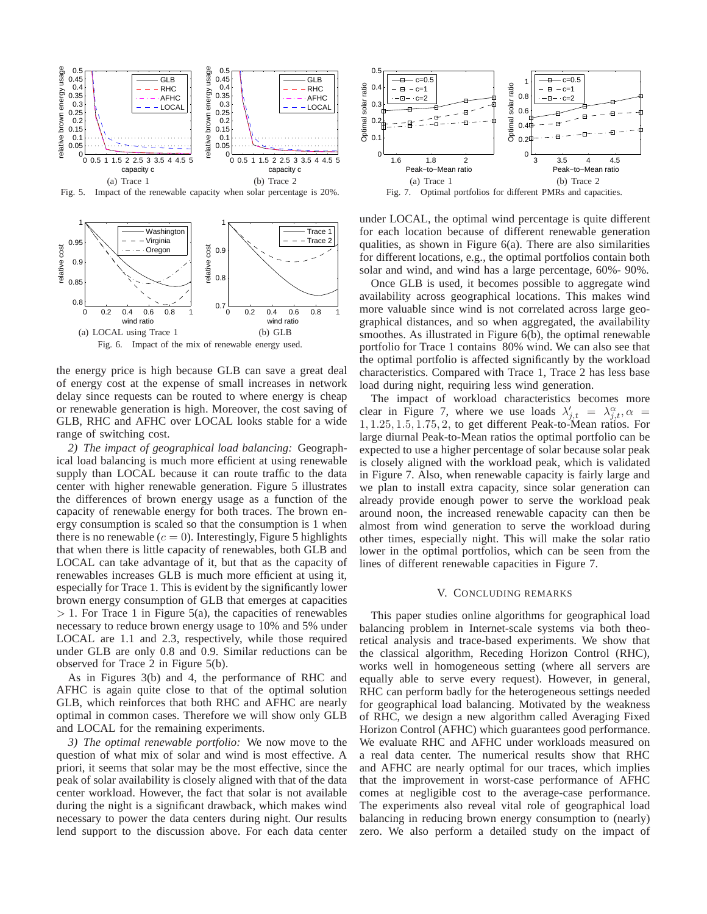

Fig. 5. Impact of the renewable capacity when solar percentage is 20%.



the energy price is high because GLB can save a great deal of energy cost at the expense of small increases in network delay since requests can be routed to where energy is cheap or renewable generation is high. Moreover, the cost saving of GLB, RHC and AFHC over LOCAL looks stable for a wide range of switching cost.

*2) The impact of geographical load balancing:* Geographical load balancing is much more efficient at using renewable supply than LOCAL because it can route traffic to the data center with higher renewable generation. Figure 5 illustrates the differences of brown energy usage as a function of the capacity of renewable energy for both traces. The brown energy consumption is scaled so that the consumption is 1 when there is no renewable  $(c = 0)$ . Interestingly, Figure 5 highlights that when there is little capacity of renewables, both GLB and LOCAL can take advantage of it, but that as the capacity of renewables increases GLB is much more efficient at using it, especially for Trace 1. This is evident by the significantly lower brown energy consumption of GLB that emerges at capacities  $> 1$ . For Trace 1 in Figure 5(a), the capacities of renewables necessary to reduce brown energy usage to 10% and 5% under LOCAL are 1.1 and 2.3, respectively, while those required under GLB are only 0.8 and 0.9. Similar reductions can be observed for Trace 2 in Figure 5(b).

As in Figures 3(b) and 4, the performance of RHC and AFHC is again quite close to that of the optimal solution GLB, which reinforces that both RHC and AFHC are nearly optimal in common cases. Therefore we will show only GLB and LOCAL for the remaining experiments.

*3) The optimal renewable portfolio:* We now move to the question of what mix of solar and wind is most effective. A priori, it seems that solar may be the most effective, since the peak of solar availability is closely aligned with that of the data center workload. However, the fact that solar is not available during the night is a significant drawback, which makes wind necessary to power the data centers during night. Our results lend support to the discussion above. For each data center



under LOCAL, the optimal wind percentage is quite different for each location because of different renewable generation qualities, as shown in Figure 6(a). There are also similarities for different locations, e.g., the optimal portfolios contain both solar and wind, and wind has a large percentage, 60%- 90%.

Once GLB is used, it becomes possible to aggregate wind availability across geographical locations. This makes wind more valuable since wind is not correlated across large geographical distances, and so when aggregated, the availability smoothes. As illustrated in Figure 6(b), the optimal renewable portfolio for Trace 1 contains 80% wind. We can also see that the optimal portfolio is affected significantly by the workload characteristics. Compared with Trace 1, Trace 2 has less base load during night, requiring less wind generation.

The impact of workload characteristics becomes more clear in Figure 7, where we use loads  $\lambda'_{j,t} = \lambda^{\alpha}_{j,t}, \alpha =$ 1, 1.25, 1.5, 1.75, 2, to get different Peak-to-Mean ratios. For large diurnal Peak-to-Mean ratios the optimal portfolio can be expected to use a higher percentage of solar because solar peak is closely aligned with the workload peak, which is validated in Figure 7. Also, when renewable capacity is fairly large and we plan to install extra capacity, since solar generation can already provide enough power to serve the workload peak around noon, the increased renewable capacity can then be almost from wind generation to serve the workload during other times, especially night. This will make the solar ratio lower in the optimal portfolios, which can be seen from the lines of different renewable capacities in Figure 7.

#### V. CONCLUDING REMARKS

This paper studies online algorithms for geographical load balancing problem in Internet-scale systems via both theoretical analysis and trace-based experiments. We show that the classical algorithm, Receding Horizon Control (RHC), works well in homogeneous setting (where all servers are equally able to serve every request). However, in general, RHC can perform badly for the heterogeneous settings needed for geographical load balancing. Motivated by the weakness of RHC, we design a new algorithm called Averaging Fixed Horizon Control (AFHC) which guarantees good performance. We evaluate RHC and AFHC under workloads measured on a real data center. The numerical results show that RHC and AFHC are nearly optimal for our traces, which implies that the improvement in worst-case performance of AFHC comes at negligible cost to the average-case performance. The experiments also reveal vital role of geographical load balancing in reducing brown energy consumption to (nearly) zero. We also perform a detailed study on the impact of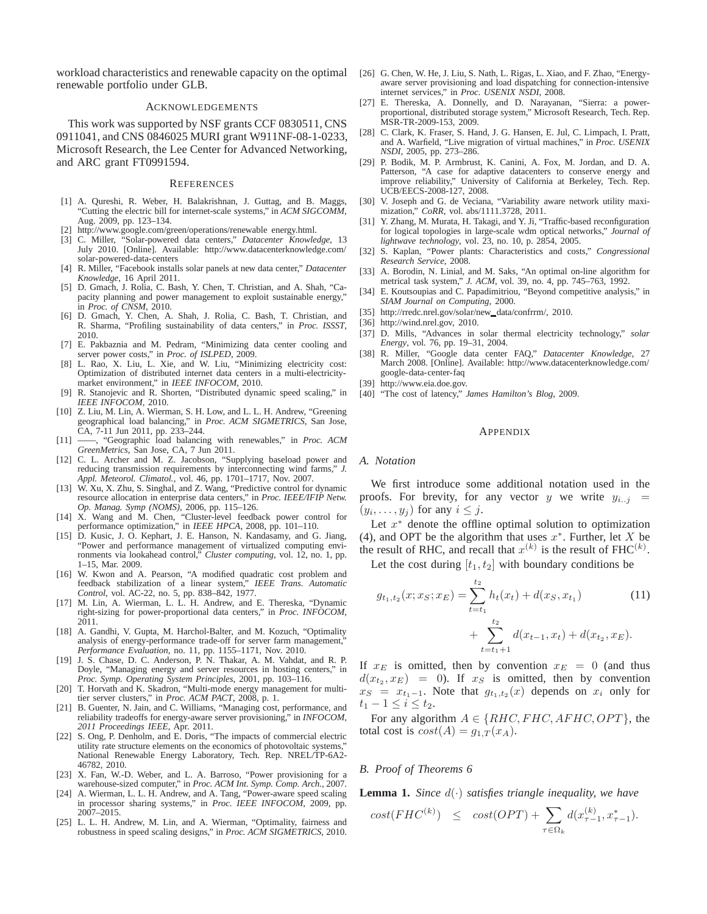workload characteristics and renewable capacity on the optimal renewable portfolio under GLB.

## ACKNOWLEDGEMENTS

This work was supported by NSF grants CCF 0830511, CNS 0911041, and CNS 0846025 MURI grant W911NF-08-1-0233, Microsoft Research, the Lee Center for Advanced Networking, and ARC grant FT0991594.

#### **REFERENCES**

- [1] A. Qureshi, R. Weber, H. Balakrishnan, J. Guttag, and B. Maggs, "Cutting the electric bill for internet-scale systems," in *ACM SIGCOMM*, Aug. 2009, pp. 123–134.
- [2] http://www.google.com/green/operations/renewable energy.html.
- [3] C. Miller, "Solar-powered data centers," *Datacenter Knowledge*, 13 July 2010. [Online]. Available: http://www.datacenterknowledge.com/ solar-powered-data-centers
- [4] R. Miller, "Facebook installs solar panels at new data center," *Datacenter Knowledge*, 16 April 2011.
- [5] D. Gmach, J. Rolia, C. Bash, Y. Chen, T. Christian, and A. Shah, "Capacity planning and power management to exploit sustainable energy,' in *Proc. of CNSM*, 2010.
- [6] D. Gmach, Y. Chen, A. Shah, J. Rolia, C. Bash, T. Christian, and R. Sharma, "Profiling sustainability of data centers," in *Proc. ISSST*, 2010.
- [7] E. Pakbaznia and M. Pedram, "Minimizing data center cooling and server power costs," in *Proc. of ISLPED*, 2009.
- [8] L. Rao, X. Liu, L. Xie, and W. Liu, "Minimizing electricity cost: Optimization of distributed internet data centers in a multi-electricitymarket environment," in *IEEE INFOCOM*, 2010.
- [9] R. Stanojevic and R. Shorten, "Distributed dynamic speed scaling," in *IEEE INFOCOM*, 2010.
- [10] Z. Liu, M. Lin, A. Wierman, S. H. Low, and L. L. H. Andrew, "Greening geographical load balancing," in *Proc. ACM SIGMETRICS*, San Jose, CA, 7-11 Jun 2011, pp. 233–244.
- [11] ——, "Geographic load balancing with renewables," in *Proc. ACM GreenMetrics*, San Jose, CA, 7 Jun 2011.
- [12] C. L. Archer and M. Z. Jacobson, "Supplying baseload power and reducing transmission requirements by interconnecting wind farms," *J. Appl. Meteorol. Climatol.*, vol. 46, pp. 1701–1717, Nov. 2007.
- [13] W. Xu, X. Zhu, S. Singhal, and Z. Wang, "Predictive control for dynamic resource allocation in enterprise data centers," in *Proc. IEEE/IFIP Netw. Op. Manag. Symp (NOMS)*, 2006, pp. 115–126.
- [14] X. Wang and M. Chen, "Cluster-level feedback power control for performance optimization," in *IEEE HPCA*, 2008, pp. 101–110.
- [15] D. Kusic, J. O. Kephart, J. E. Hanson, N. Kandasamy, and G. Jiang, "Power and performance management of virtualized computing environments via lookahead control," *Cluster computing*, vol. 12, no. 1, pp. 1–15, Mar. 2009.
- [16] W. Kwon and A. Pearson, "A modified quadratic cost problem and feedback stabilization of a linear system," *IEEE Trans. Automatic Control*, vol. AC-22, no. 5, pp. 838–842, 1977.
- [17] M. Lin, A. Wierman, L. L. H. Andrew, and E. Thereska, "Dynamic right-sizing for power-proportional data centers," in *Proc. INFOCOM*, 2011.
- [18] A. Gandhi, V. Gupta, M. Harchol-Balter, and M. Kozuch, "Optimality analysis of energy-performance trade-off for server farm management," *Performance Evaluation*, no. 11, pp. 1155–1171, Nov. 2010.
- [19] J. S. Chase, D. C. Anderson, P. N. Thakar, A. M. Vahdat, and R. P. Doyle, "Managing energy and server resources in hosting centers," in *Proc. Symp. Operating System Principles*, 2001, pp. 103–116.
- [20] T. Horvath and K. Skadron, "Multi-mode energy management for multitier server clusters," in *Proc. ACM PACT*, 2008, p. 1.
- [21] B. Guenter, N. Jain, and C. Williams, "Managing cost, performance, and reliability tradeoffs for energy-aware server provisioning," in *INFOCOM, 2011 Proceedings IEEE*, Apr. 2011.
- [22] S. Ong, P. Denholm, and E. Doris, "The impacts of commercial electric utility rate structure elements on the economics of photovoltaic systems, National Renewable Energy Laboratory, Tech. Rep. NREL/TP-6A2- 46782, 2010.
- [23] X. Fan, W.-D. Weber, and L. A. Barroso, "Power provisioning for a warehouse-sized computer," in *Proc. ACM Int. Symp. Comp. Arch.*, 2007.
- [24] A. Wierman, L. L. H. Andrew, and A. Tang, "Power-aware speed scaling in processor sharing systems," in *Proc. IEEE INFOCOM*, 2009, pp. 2007–2015.
- [25] L. L. H. Andrew, M. Lin, and A. Wierman, "Optimality, fairness and robustness in speed scaling designs," in *Proc. ACM SIGMETRICS*, 2010.
- [26] G. Chen, W. He, J. Liu, S. Nath, L. Rigas, L. Xiao, and F. Zhao, "Energyaware server provisioning and load dispatching for connection-intensive internet services," in *Proc. USENIX NSDI*, 2008.
- [27] E. Thereska, A. Donnelly, and D. Narayanan, "Sierra: a powerproportional, distributed storage system," Microsoft Research, Tech. Rep. MSR-TR-2009-153, 2009.
- [28] C. Clark, K. Fraser, S. Hand, J. G. Hansen, E. Jul, C. Limpach, I. Pratt, and A. Warfield, "Live migration of virtual machines," in *Proc. USENIX NSDI*, 2005, pp. 273–286.
- [29] P. Bodik, M. P. Armbrust, K. Canini, A. Fox, M. Jordan, and D. A. Patterson, "A case for adaptive datacenters to conserve energy and improve reliability," University of California at Berkeley, Tech. Rep. UCB/EECS-2008-127, 2008.
- [30] V. Joseph and G. de Veciana, "Variability aware network utility maximization," *CoRR*, vol. abs/1111.3728, 2011.
- [31] Y. Zhang, M. Murata, H. Takagi, and Y. Ji, "Traffic-based reconfiguration for logical topologies in large-scale wdm optical networks," *Journal of lightwave technology*, vol. 23, no. 10, p. 2854, 2005.
- [32] S. Kaplan, "Power plants: Characteristics and costs," *Congressional Research Service*, 2008.
- [33] A. Borodin, N. Linial, and M. Saks, "An optimal on-line algorithm for metrical task system," *J. ACM*, vol. 39, no. 4, pp. 745–763, 1992.
- [34] E. Koutsoupias and C. Papadimitriou, "Beyond competitive analysis," in *SIAM Journal on Computing*, 2000.
- [35] http://rredc.nrel.gov/solar/new\_data/confrrm/, 2010.
- [36] http://wind.nrel.gov, 2010.
- [37] D. Mills, "Advances in solar thermal electricity technology," *solar Energy*, vol. 76, pp. 19–31, 2004.
- [38] R. Miller, "Google data center FAQ," *Datacenter Knowledge*, 27 March 2008. [Online]. Available: http://www.datacenterknowledge.com/ google-data-center-faq
- [39] http://www.eia.doe.gov.
- [40] "The cost of latency," *James Hamilton's Blog*, 2009.

#### **APPENDIX**

## *A. Notation*

We first introduce some additional notation used in the proofs. For brevity, for any vector y we write  $y_{i..i}$  =  $(y_i, \ldots, y_j)$  for any  $i \leq j$ .

Let  $x^*$  denote the offline optimal solution to optimization (4), and OPT be the algorithm that uses  $x^*$ . Further, let X be the result of RHC, and recall that  $x^{(k)}$  is the result of FHC<sup>(k)</sup>.

Let the cost during  $[t_1, t_2]$  with boundary conditions be

$$
g_{t_1,t_2}(x; x_S; x_E) = \sum_{t=t_1}^{t_2} h_t(x_t) + d(x_S, x_{t_1})
$$
(11)  
+ 
$$
\sum_{t=t_1+1}^{t_2} d(x_{t-1}, x_t) + d(x_{t_2}, x_E).
$$

If  $x_E$  is omitted, then by convention  $x_E = 0$  (and thus  $d(x_{t_2}, x_E) = 0$ ). If  $x_S$  is omitted, then by convention  $x_S = x_{t_1-1}$ . Note that  $g_{t_1,t_2}(x)$  depends on  $x_i$  only for  $t_1 - 1 \le i \le t_2$ .

For any algorithm  $A \in \{RHC, FHC, AFHC, OPT\}$ , the total cost is  $cost(A) = g_{1,T}(x_A)$ .

#### *B. Proof of Theorems 6*

**Lemma 1.** *Since* d(·) *satisfies triangle inequality, we have*

$$
cost(FHC^{(k)}) \le cost(OPT) + \sum_{\tau \in \Omega_k} d(x_{\tau-1}^{(k)}, x_{\tau-1}^*).
$$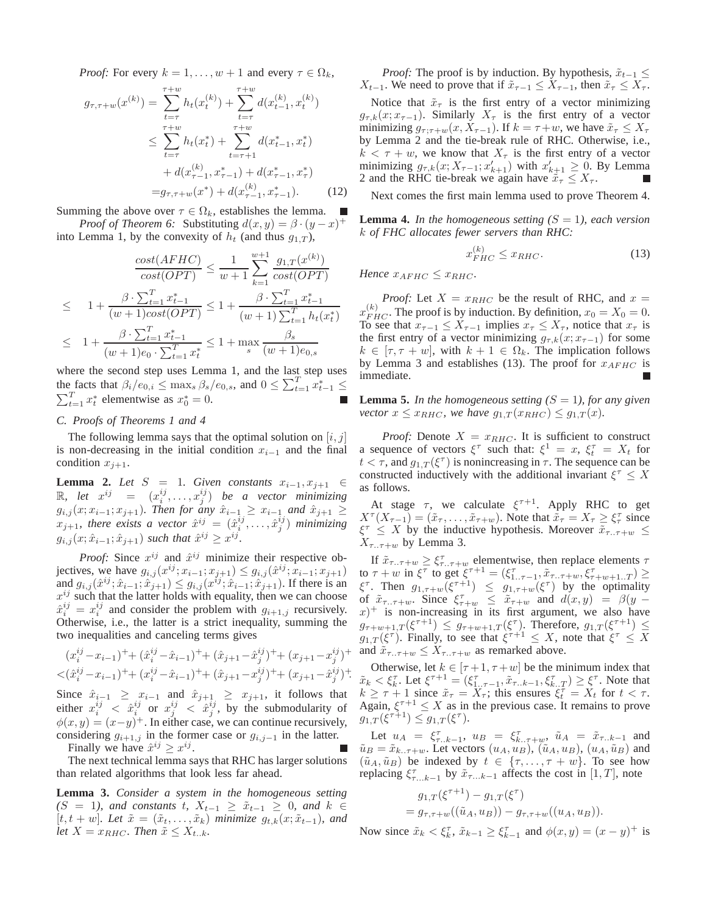*Proof:* For every  $k = 1, \ldots, w + 1$  and every  $\tau \in \Omega_k$ ,

$$
g_{\tau,\tau+w}(x^{(k)}) = \sum_{t=\tau}^{\tau+w} h_t(x_t^{(k)}) + \sum_{t=\tau}^{\tau+w} d(x_{t-1}^{(k)}, x_t^{(k)})
$$
  
\n
$$
\leq \sum_{t=\tau}^{\tau+w} h_t(x_t^*) + \sum_{t=\tau+1}^{\tau+w} d(x_{t-1}^*, x_t^*)
$$
  
\n
$$
+ d(x_{\tau-1}^{(k)}, x_{\tau-1}^*) + d(x_{\tau-1}^*, x_{\tau}^*)
$$
  
\n
$$
= g_{\tau,\tau+w}(x^*) + d(x_{\tau-1}^{(k)}, x_{\tau-1}^*).
$$
 (12)

Summing the above over  $\tau \in \Omega_k$ , establishes the lemma.

*Proof of Theorem 6:* Substituting  $d(x, y) = \beta \cdot (y - x)^+$ into Lemma 1, by the convexity of  $h_t$  (and thus  $g_{1,T}$ ),

$$
\frac{\cos t(AFHC)}{\cos t(OPT)} \le \frac{1}{w+1} \sum_{k=1}^{w+1} \frac{g_{1,T}(x^{(k)})}{\cos t(OPT)}
$$
  
\n
$$
\le 1 + \frac{\beta \cdot \sum_{t=1}^{T} x_{t-1}^{*}}{(w+1)\cos t(OPT)} \le 1 + \frac{\beta \cdot \sum_{t=1}^{T} x_{t-1}^{*}}{(w+1)\sum_{t=1}^{T} h_{t}(x_{t}^{*})}
$$
  
\n
$$
\le 1 + \frac{\beta \cdot \sum_{t=1}^{T} x_{t-1}^{*}}{(w+1)e_{0} \cdot \sum_{t=1}^{T} x_{t}^{*}} \le 1 + \max_{s} \frac{\beta_{s}}{(w+1)e_{0,s}}
$$

where the second step uses Lemma 1, and the last step uses the facts that  $\beta_i/e_{0,i} \leq \max_s \beta_s/e_{0,s}$ , and  $0 \leq \sum_{t=1}^T \hat{x}_{t-1}^* \leq$  $\sum_{t=1}^{T} x_t^*$  elementwise as  $x_0^* = 0$ . г

# *C. Proofs of Theorems 1 and 4*

The following lemma says that the optimal solution on  $[i, j]$ is non-decreasing in the initial condition  $x_{i-1}$  and the final condition  $x_{j+1}$ .

**Lemma 2.** *Let*  $S = 1$ *. Given constants*  $x_{i-1}, x_{j+1} \in$ R, let  $x^{ij}$  =  $(x_i^{ij}, \ldots, x_j^{ij})$  be a vector minimizing  $g_{i,j}(x; x_{i-1}; x_{j+1})$ *. Then for any*  $\hat{x}_{i-1} \geq x_{i-1}$  *and*  $\hat{x}_{j+1} \geq$  $x_{j+1}$ , there exists a vector  $\hat{x}^{ij} = (\hat{x}_i^{ij}, \dots, \hat{x}_j^{ij})$  minimizing  $g_{i,j}(x; \hat{x}_{i-1}; \hat{x}_{j+1})$  such that  $\hat{x}^{ij} \geq x^{ij}$ .

*Proof:* Since  $x^{ij}$  and  $\hat{x}^{ij}$  minimize their respective objectives, we have  $g_{i,j}(x^{ij}; x_{i-1}; x_{j+1}) \le g_{i,j}(\hat{x}^{ij}; x_{i-1}; x_{j+1})$ and  $g_{i,j}(\hat{x}^{ij}; \hat{x}_{i-1}; \hat{x}_{j+1}) \leq g_{i,j}(x^{ij}; \hat{x}_{i-1}; \hat{x}_{j+1})$ . If there is an  $x^{ij}$  such that the latter holds with equality, then we can choose  $\hat{x}_i^{ij} = x_i^{ij}$  and consider the problem with  $g_{i+1,j}$  recursively. Otherwise, i.e., the latter is a strict inequality, summing the two inequalities and canceling terms gives

$$
(x_i^{ij} - x_{i-1})^+ + (\hat{x}_i^{ij} - \hat{x}_{i-1})^+ + (\hat{x}_{j+1} - \hat{x}_j^{ij})^+ + (x_{j+1} - x_j^{ij})^+
$$
  

$$
< (\hat{x}_i^{ij} - x_{i-1})^+ + (x_i^{ij} - \hat{x}_{i-1})^+ + (\hat{x}_{j+1} - x_j^{ij})^+ + (x_{j+1} - \hat{x}_j^{ij})^+.
$$

Since  $\hat{x}_{i-1} \geq x_{i-1}$  and  $\hat{x}_{j+1} \geq x_{j+1}$ , it follows that either  $x_i^{ij} < \hat{x}_i^{ij}$  or  $x_j^{ij} < \hat{x}_j^{ij}$ , by the submodularity of  $\phi(x, y) = (x - y)^{+}$ . In either case, we can continue recursively, considering  $g_{i+1,j}$  in the former case or  $g_{i,j-1}$  in the latter.

Finally we have 
$$
\hat{x}^{ij} \geq x^{ij}
$$
.

The next technical lemma says that RHC has larger solutions than related algorithms that look less far ahead.

**Lemma 3.** *Consider a system in the homogeneous setting*  $(S = 1)$ *, and constants t,*  $X_{t-1} \geq \tilde{x}_{t-1} \geq 0$ *, and*  $k \in$  $[t, t + w]$ *. Let*  $\tilde{x} = (\tilde{x}_t, \ldots, \tilde{x}_k)$  *minimize*  $g_{t,k}(x; \tilde{x}_{t-1})$ *, and let*  $X = x_{RHC}$ *. Then*  $\tilde{x} \leq X_{t..k}$ *.* 

*Proof:* The proof is by induction. By hypothesis,  $\tilde{x}_{t-1}$  ≤  $X_{t-1}$ . We need to prove that if  $\tilde{x}_{\tau-1} \leq X_{\tau-1}$ , then  $\tilde{x}_{\tau} \leq X_{\tau}$ .

Notice that  $\tilde{x}_{\tau}$  is the first entry of a vector minimizing  $g_{\tau,k}(x; x_{\tau-1})$ . Similarly  $X_{\tau}$  is the first entry of a vector minimizing  $g_{\tau;\tau+w}(x, X_{\tau-1})$ . If  $k = \tau+w$ , we have  $\tilde{x}_{\tau} \leq X_{\tau}$ by Lemma 2 and the tie-break rule of RHC. Otherwise, i.e.,  $k < \tau + w$ , we know that  $X_{\tau}$  is the first entry of a vector minimizing  $g_{\tau,k}(x; X_{\tau-1}; x'_{k+1})$  with  $x'_{k+1} \geq 0$ . By Lemma 2 and the RHC tie-break we again have  $\tilde{x}_{\tau} \leq X_{\tau}$ .

Next comes the first main lemma used to prove Theorem 4.

**Lemma 4.** In the homogeneous setting  $(S = 1)$ , each version k *of FHC allocates fewer servers than RHC:*

$$
x_{FHC}^{(k)} \le x_{RHC}.\tag{13}
$$

*Hence*  $x_{AFHC} \leq x_{RHC}$ .

*Proof:* Let  $X = x_{RHC}$  be the result of RHC, and  $x =$  $x_{FHC}^{(k)}$ . The proof is by induction. By definition,  $x_0 = X_0 = 0$ . To see that  $x_{\tau-1} \leq X_{\tau-1}$  implies  $x_{\tau} \leq X_{\tau}$ , notice that  $x_{\tau}$  is the first entry of a vector minimizing  $g_{\tau,k}(x; x_{\tau-1})$  for some  $k \in [\tau, \tau + w]$ , with  $k + 1 \in \Omega_k$ . The implication follows by Lemma 3 and establishes (13). The proof for  $x_{AFHC}$  is immediate.

**Lemma 5.** *In the homogeneous setting*  $(S = 1)$ *, for any given vector*  $x \leq x_{RHC}$ *, we have*  $g_{1,T}(x_{RHC}) \leq g_{1,T}(x)$ *.* 

*Proof:* Denote  $X = x_{RHC}$ . It is sufficient to construct a sequence of vectors  $\xi^{\tau}$  such that:  $\xi^{1} = x$ ,  $\xi_{t}^{\tau} = X_{t}$  for  $t < \tau$ , and  $g_{1,T}(\xi^{\tau})$  is nonincreasing in  $\tau$ . The sequence can be constructed inductively with the additional invariant  $\xi^{\tau} \leq X$ as follows.

At stage  $\tau$ , we calculate  $\xi^{\tau+1}$ . Apply RHC to get  $X^{\tau}(X_{\tau-1}) = (\tilde{x}_{\tau}, \dots, \tilde{x}_{\tau+w})$ . Note that  $\tilde{\tilde{x}}_{\tau} = X_{\tau} \geq \xi_{\tau}^{\tau}$  since  $\xi^{\tau} \leq X$  by the inductive hypothesis. Moreover  $\tilde{x}_{\tau,\tau+w} \leq$  $X_{\tau..\tau+w}$  by Lemma 3.

+ and  $\tilde{x}_{\tau}$ ... $\tau+w \leq X_{\tau}$ ... $\tau+w$  as remarked above. If  $\tilde{x}_{\tau_1, \tau_2} \geq \xi_{\tau_1, \tau_2}^{\tau_1}$  elementwise, then replace elements  $\tau$ to  $\tau + w$  in  $\xi^{\tau}$  to get  $\xi^{\tau+1} = (\xi^{\tau}_{1..\tau-1}, \tilde{x}_{\tau..\tau+w}, \xi^{\tau}_{\tau+w+1..\tau}) \ge$  $\xi^{\tau}$ . Then  $g_{1,\tau+w}(\xi^{\tau+1}) \leq g_{1,\tau+w}(\xi^{\tau})$  by the optimality of  $\tilde{x}_{\tau,\tau+w}$ . Since  $\xi_{\tau+w}^{\tau} \leq \tilde{x}_{\tau+w}$  and  $d(x,y) = \beta(y (x)$ <sup>+</sup> is non-increasing in its first argument, we also have  $g_{\tau+w+1,T}(\xi^{\tau+1}) \leq g_{\tau+w+1,T}(\xi^{\tau})$ . Therefore,  $g_{1,T}(\xi^{\tau+1}) \leq$  $g_{1,T}(\xi^{\tau})$ . Finally, to see that  $\xi^{\tau+1} \leq X$ , note that  $\xi^{\tau} \leq X$ 

Otherwise, let  $k \in [\tau+1, \tau+w]$  be the minimum index that  $\tilde{x}_k < \xi_k^{\tau}$ . Let  $\xi^{\tau+1} = (\xi_{1..\tau-1}^{\tau}, \tilde{x}_{\tau..k-1}, \xi_{k..\tau}^{\tau}) \ge \xi^{\tau}$ . Note that  $k \geq \tau + 1$  since  $\tilde{x}_{\tau} = X_{\tau}$ ; this ensures  $\xi_t^{\tau} = X_t$  for  $t < \tau$ . Again,  $\xi^{\tau+1} \leq X$  as in the previous case. It remains to prove  $g_{1,T}(\xi^{\tau+1}) \leq g_{1,T}(\xi^{\tau}).$ 

Let  $u_A = \xi_{\tau..k-1}^{\tau}$ ,  $u_B = \xi_{k..\tau+w}^{\tau}$ ,  $\tilde{u}_A = \tilde{x}_{\tau..k-1}$  and  $\tilde{u}_B = \tilde{x}_{k..\tau+w}$ . Let vectors  $(u_A, u_B)$ ,  $(\tilde{u}_A, u_B)$ ,  $(u_A, \tilde{u}_B)$  and  $(\tilde{u}_A, \tilde{u}_B)$  be indexed by  $t \in \{\tau, \ldots, \tau + w\}$ . To see how replacing  $\xi_{\tau...k-1}^{\tau}$  by  $\tilde{x}_{\tau...k-1}$  affects the cost in [1, T], note

$$
g_{1,T}(\xi^{\tau+1}) - g_{1,T}(\xi^{\tau})
$$
  
=  $g_{\tau,\tau+w}((\tilde{u}_A, u_B)) - g_{\tau,\tau+w}((u_A, u_B)).$ 

Now since  $\tilde{x}_k < \xi_k^{\tau}$ ,  $\tilde{x}_{k-1} \ge \xi_{k-1}^{\tau}$  and  $\phi(x, y) = (x - y)^{+}$  is